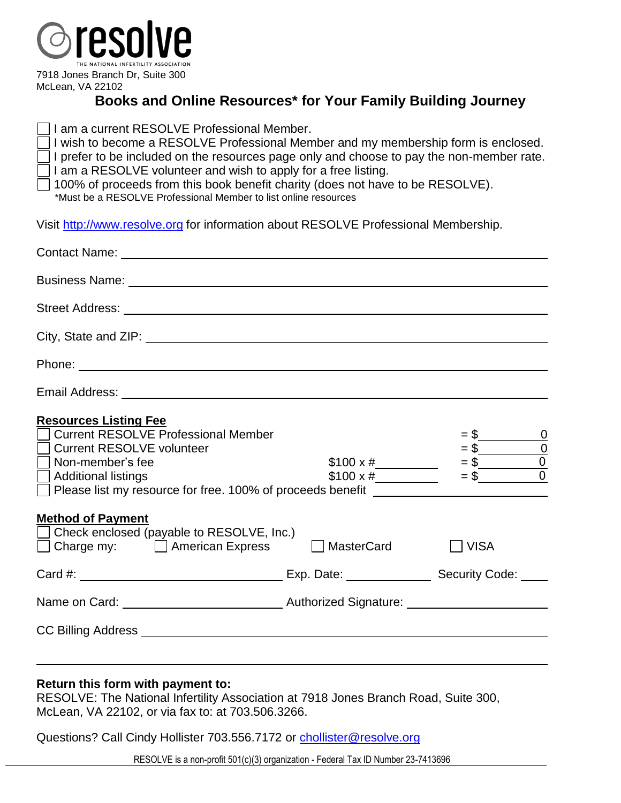

7918 Jones Branch Dr, Suite 300 McLean, VA 22102

# **Books and Online Resources\* for Your Family Building Journey**

| $\Box$ I am a current RESOLVE Professional Member.<br>$\Box$ I wish to become a RESOLVE Professional Member and my membership form is enclosed.<br>$\Box$ I prefer to be included on the resources page only and choose to pay the non-member rate.<br>$\Box$ I am a RESOLVE volunteer and wish to apply for a free listing.<br>100% of proceeds from this book benefit charity (does not have to be RESOLVE). |
|----------------------------------------------------------------------------------------------------------------------------------------------------------------------------------------------------------------------------------------------------------------------------------------------------------------------------------------------------------------------------------------------------------------|
| *Must be a RESOLVE Professional Member to list online resources<br>Visit http://www.resolve.org for information about RESOLVE Professional Membership.                                                                                                                                                                                                                                                         |

| <b>Resources Listing Fee</b><br><b>Current RESOLVE Professional Member</b><br>Current RESOLVE volunteer<br>$\Box$ Non-member's fee<br>  Additional listings<br>$\Box$ Please list my resource for free. 100% of proceeds benefit $\Box$ |                                                                                                                      | \$100 x #<br>\$100 x #<br>\$100 x # = \$<br>\$100 x # = \$ |  |
|-----------------------------------------------------------------------------------------------------------------------------------------------------------------------------------------------------------------------------------------|----------------------------------------------------------------------------------------------------------------------|------------------------------------------------------------|--|
| <b>Method of Payment</b><br>□ Check enclosed (payable to RESOLVE, Inc.)<br>$\Box$ Charge my: $\Box$ American Express $\Box$                                                                                                             | <b>MasterCard</b>                                                                                                    | VISA                                                       |  |
|                                                                                                                                                                                                                                         |                                                                                                                      |                                                            |  |
|                                                                                                                                                                                                                                         | Name on Card: <u>Carriel Communication and Authorized Signature:</u> Carriel Communication and Carriel Communication |                                                            |  |
|                                                                                                                                                                                                                                         |                                                                                                                      |                                                            |  |

#### **Return this form with payment to:**

RESOLVE: The National Infertility Association at 7918 Jones Branch Road, Suite 300, McLean, VA 22102, or via fax to: at 703.506.3266.

Questions? Call Cindy Hollister 703.556.7172 or [chollister@resolve.org](mailto:chollister@resolve.org)

RESOLVE is a non-profit 501(c)(3) organization - Federal Tax ID Number 23-7413696